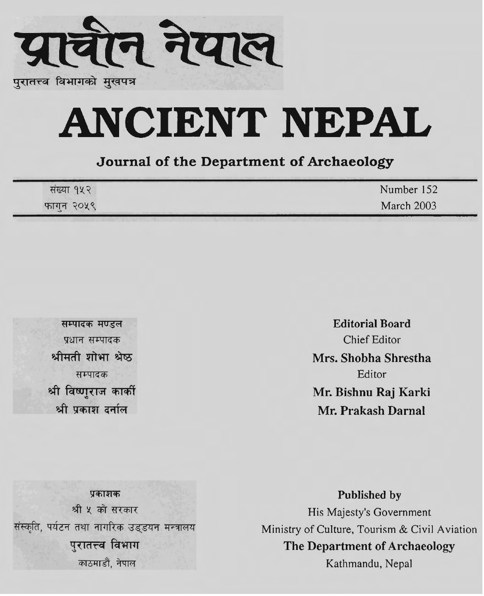

# **ANCIENT NEPAL**

### **Journal of the Department of Archaeology**

| संख्या १५२ | Number 152 |
|------------|------------|
| फाग्न २०५९ | March 2003 |

सम्पादक मण्डल प्रधान सम्पादक श्रीमती शोभा श्रेष्ठ सम्पादक श्री विष्णुराज कार्की श्री प्रकाश दर्नाल

**Editorial Board**  Chief Editor **Mrs. Shobha Shrestha**  Editor **Mr. Bishnu Raj Karki Mr. Prakash Darnal** 

प्रकाशक श्री ५ को सरकार संस्कृति, पर्यटन तथा नागरिक उड्डयन मन्त्रालय परातत्त्व विभाग काठमाडौं, नेपाल

**Published by**  His Majesty's Government Ministry of Culture, Tourism & Civil Aviation **The Department of Archaeology** 

Kathmandu, Nepal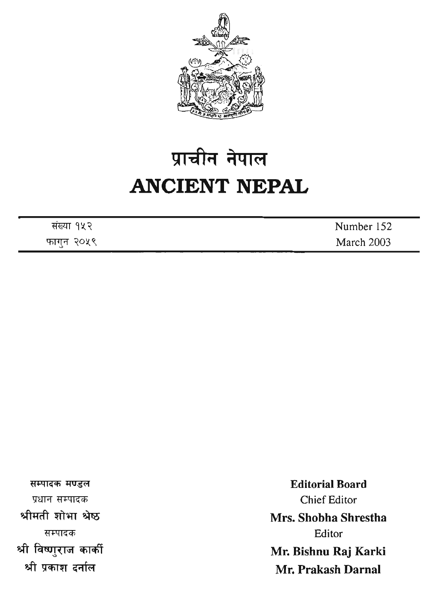

## प्राचीन नेपाल **ANCIENT NEPAZ,**

| संख्या १५२ | Number 152 |
|------------|------------|
| फागुन २०५९ | March 2003 |

सम्पादक मण्डल प्रधान सम्पादक श्रीमती शोभा श्रेष्ठ सम्पादक श्री विष्णुराज कार्की श्री प्रकाश दर्नाल

**Editorial Board**  Chief Editor **Mrs. Shobha Shrestha**  Editor **Mr. Bishnu Raj Karki Mr. Prakash Darnal**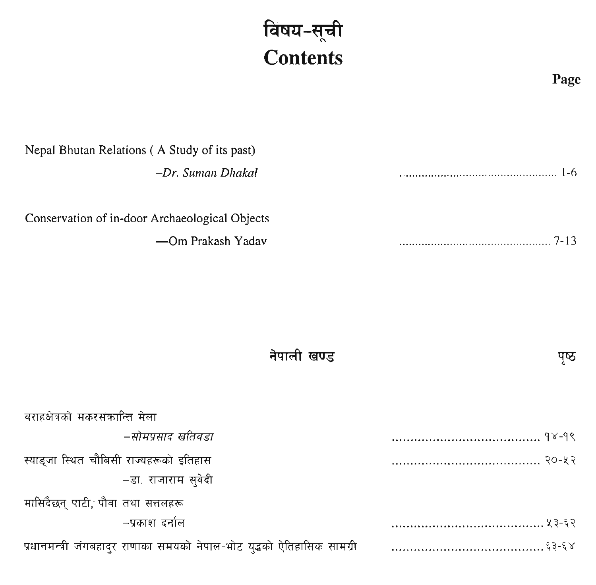### <u>विषय-सू</u>ची **Contents**

#### Nepal Bhutan Relations ( A Study of its past) -Dr. Suman Dhakal

Conservation of in-door Archaeological Objects

-Om Prakash Yadav

पृष्ठ

नेपाली खण्ड

| वराहक्षेत्रको मकरसंकान्ति मेला                                          |  |
|-------------------------------------------------------------------------|--|
| –सोमप्रसाद खतिवडा                                                       |  |
| स्याङ्जा स्थित चौबिसी राज्यहरूको इतिहास                                 |  |
| −डा. राजाराम सुवेदी                                                     |  |
| मासिदैछन् पाटी, पौवा तथा सत्तलहरू                                       |  |
| -प्रकाश दर्नाल                                                          |  |
| प्रधानमन्त्री जंगबहादुर राणाका समयको नेपाल-भोट युद्धको ऐतिहासिक सामग्री |  |

**Page**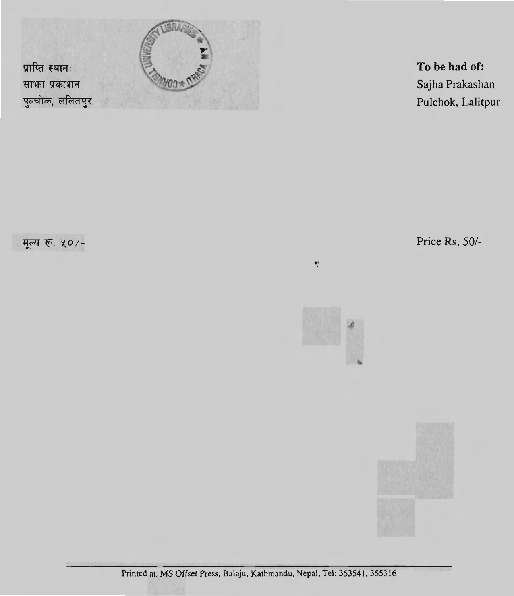

**To be had of:**  Sajha Prakashan Pulchok, Lalitpur

मूल्य रू. ५०/-

Price Rs. *501-* 



Ņ